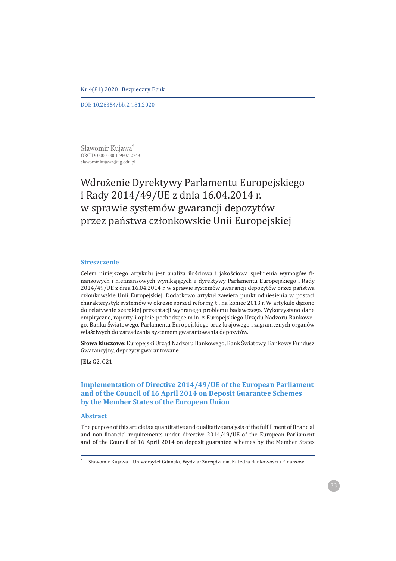#### Nr 4(81) 2020 Bezpieczny Bank

DOI: 10.26354/bb.2.4.81.2020

Sławomir Kujawa\* ORCID: 0000-0001-9607-2743 slawomir.kujawa@ug.edu.pl

# Wdrożenie Dyrektywy Parlamentu Europejskiego i Rady 2014/49/UE z dnia 16.04.2014 r. w sprawie systemów gwarancji depozytów przez państwa członkowskie Unii Europejskiej

### **Streszczenie**

Celem niniejszego artykułu jest analiza ilościowa i jakościowa spełnienia wymogów finansowych i niefinansowych wynikających z dyrektywy Parlamentu Europejskiego i Rady 2014/49/UE z dnia 16.04.2014 r. w sprawie systemów gwarancji depozytów przez państwa członkowskie Unii Europejskiej. Dodatkowo artykuł zawiera punkt odniesienia w postaci charakterystyk systemów w okresie sprzed reformy, tj. na koniec 2013 r. W artykule dążono do relatywnie szerokiej prezentacji wybranego problemu badawczego. Wykorzystano dane empiryczne, raporty i opinie pochodzące m.in. z Europejskiego Urzędu Nadzoru Bankowego, Banku Światowego, Parlamentu Europejskiego oraz krajowego i zagranicznych organów właściwych do zarządzania systemem gwarantowania depozytów.

Słowa kluczowe: Europejski Urząd Nadzoru Bankowego, Bank Światowy, Bankowy Fundusz Gwarancyjny, depozyty gwarantowane.

**JEL:** G2, G21

# **Implementation of Directive 2014/49/UE of the European Parliament and of the Council of 16 April 2014 on Deposit Guarantee Schemes by the Member States of the European Union**

#### **Abstract**

The purpose of this article is a quantitative and qualitative analysis of the fulfillment of financial and non-financial requirements under directive 2014/49/UE of the European Parliament and of the Council of 16 April 2014 on deposit guarantee schemes by the Member States

ȗ Sławomir Kujawa - Uniwersytet Gdański, Wydział Zarządzania, Katedra Bankowości i Finansów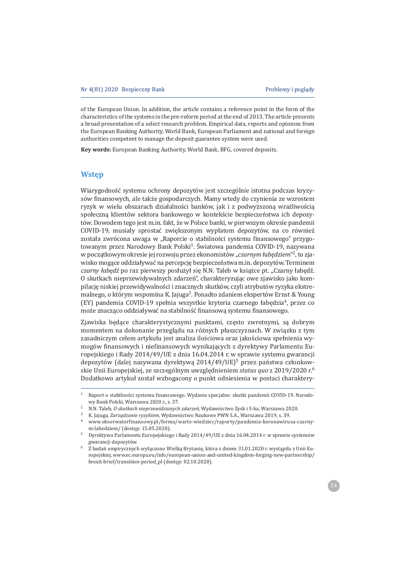of the European Union. In addition, the article contains a reference point in the form of the characteristics of the systems in the pre-reform period at the end of 2013. The article presents a broad presentation of a select research problem. Empirical data, reports and opinions from the European Banking Authority, World Bank, European Parliament and national and foreign authorities competent to manage the deposit guarantee system were used.

Key words: European Banking Authority, World Bank, BFG, covered deposits.

# **Wstep**

Wiarygodność systemu ochrony depozytów jest szczególnie istotna podczas kryzysów finansowych, ale także gospodarczych. Mamy wtedy do czynienia ze wzrostem ryzyk w wielu obszarach działalności banków, jak i z podwyższoną wrażliwością społeczną klientów sektora bankowego w kontekście bezpieczeństwa ich depozytów. Dowodem tego jest m.in. fakt, że w Polsce banki, w pierwszym okresie pandemii COVID-19, musiały sprostać zwiekszonym wypłatom depozytów, na co również została zwrócona uwaga w "Raporcie o stabilności systemu finansowego" przygotowanym przez Narodowy Bank Polski<sup>1</sup>. Światowa pandemia COVID-19, nazywana w początkowym okresie jej rozwoju przez ekonomistów "czarnym łabedziem"<sup>2</sup>, to zjawisko mogące oddziaływać na percepcję bezpieczeństwa m.in. depozytów. Terminem czarny łabędź po raz pierwszy posłużył się N.N. Taleb w książce pt. "Czarny łabędź. O skutkach nieprzewidywalnych zdarzeń", charakteryzując owe zjawisko jako kompilację niskiej przewidywalności i znacznych skutków, czyli atrybutów ryzyka ekstremalnego, o którym wspomina K. Jajuga<sup>3</sup>. Ponadto zdaniem ekspertów Ernst & Young (EY) pandemia COVID-19 spełnia wszystkie kryteria czarnego łabędzia<sup>4</sup>, przez co może znacząco oddziaływać na stabilność finansowa systemu finansowego.

Zjawiska będące charakterystycznymi punktami, często zwrotnymi, są dobrym momentem na dokonanie przeglądu na różnych płaszczyznach. W związku z tym zasadniczym celem artykułu jest analiza ilościowa oraz jakościowa spełnienia wymogów finansowych i niefinansowych wynikających z dyrektywy Parlamentu Europejskiego i Rady 2014/49/UE z dnia 16.04.2014 r. w sprawie systemu gwarancji depozytów (dalej nazywana dyrektywa 2014/49/UE)<sup>5</sup> przez państwa członkowskie Unii Europejskiej, ze szczególnym uwzględnieniem status quo z 2019/2020 r.<sup>6</sup> Dodatkowo artykuł został wzbogacony o punkt odniesienia w postaci charaktery-

Raport o stabilności systemu finansowego. Wydanie specjalne: skutki pandemii COVID-19. Narodo- $1\,$ wy Bank Polski, Warszawa 2020 r., s. 37.

 $\mathcal{L}$ N.N. Taleb, O skutkach nieprzewidzianych zdarzeń, Wydawnictwo Zysk i S-ka, Warszawa 2020.

K. Jajuga, Zarządzanie ryzykiem, Wydawnictwo Naukowe PWN S.A., Warszawa 2019, s. 39.

<sup>4</sup> www.obserwatorfinansowy.pl/forma/warto-wiedziec/raporty/pandemia-koronawirusa-czarnym-labedziem/ (dostep: 15.05.2020).

Dyrektywa Parlamentu Europejskiego i Rady 2014/49/UE z dnia 16.04.2014 r. w sprawie systemów gwarancji depozytów.

Z badań empirycznych wyłączono Wielką Brytanię, która z dniem 31.01.2020 r. wystąpiła z Unii Europejskiej, www.ec.europa.eu/info/european-union-and-united-kingdom-forging-new-partnership/ brexit-brief/transition-period\_pl (dostęp: 02.10.2020).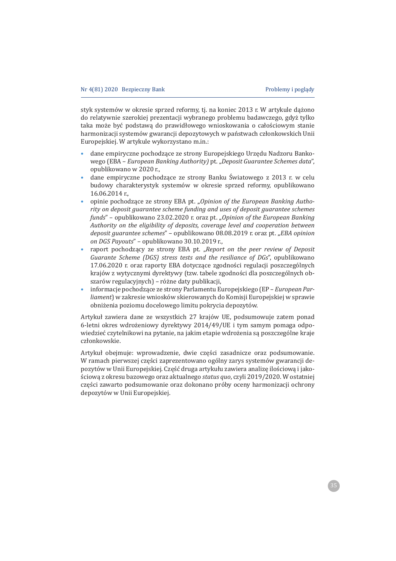styk systemów w okresie sprzed reformy, tj. na koniec 2013 r. W artykule dążono do relatywnie szerokiej prezentacji wybranego problemu badawczego, gdyż tylko taka może być podstawą do prawidłowego wnioskowania o całościowym stanie harmonizacji systemów gwarancji depozytowych w państwach członkowskich Unii Europejskiej. W artykule wykorzystano m.in.:

- dane empiryczne pochodzące ze strony Europejskiego Urzędu Nadzoru Banko- $\bullet$ wego (EBA - European Banking Authority) pt. "Deposit Guarantee Schemes data", opublikowano w 2020 r.,
- dane empiryczne pochodzące ze strony Banku Światowego z 2013 r. w celu budowy charakterystyk systemów w okresie sprzed reformy, opublikowano 16.06.2014 r.,
- opinie pochodzące ze strony EBA pt. "Opinion of the European Banking Authority on deposit guarantee scheme funding and uses of deposit guarantee schemes funds" - opublikowano 23.02.2020 r. oraz pt. "Opinion of the European Banking Authority on the eligibility of deposits, coverage level and cooperation between deposit guarantee schemes" - opublikowano 08.08.2019 r. oraz pt. "EBA opinion on DGS Payouts" - opublikowano 30.10.2019 r.,
- raport pochodzący ze strony EBA pt. "Report on the peer review of Deposit Guarante Scheme (DGS) stress tests and the resiliance of DGs", opublikowano 17.06.2020 r. oraz raporty EBA dotyczące zgodności regulacji poszczególnych krajów z wytycznymi dyrektywy (tzw. tabele zgodności dla poszczególnych obszarów regulacyjnych) – różne daty publikacji,
- informacje pochodzące ze strony Parlamentu Europejskiego (EP European Parliament) w zakresie wniosków skierowanych do Komisji Europejskiej w sprawie obniżenia poziomu docelowego limitu pokrycia depozytów.

Artykuł zawiera dane ze wszystkich 27 krajów UE, podsumowuje zatem ponad 6-letni okres wdrożeniowy dyrektywy 2014/49/UE i tym samym pomaga odpowiedzieć czytelnikowi na pytanie, na jakim etapie wdrożenia są poszczególne kraje członkowskie.

Artykuł obejmuje: wprowadzenie, dwie części zasadnicze oraz podsumowanie. W ramach pierwszej części zaprezentowano ogólny zarys systemów gwarancji depozytów w Unii Europejskiej. Część druga artykułu zawiera analizę ilościową i jakościowa z okresu bazowego oraz aktualnego status quo, czyli 2019/2020. W ostatniej części zawarto podsumowanie oraz dokonano próby oceny harmonizacji ochrony depozytów w Unii Europejskiej.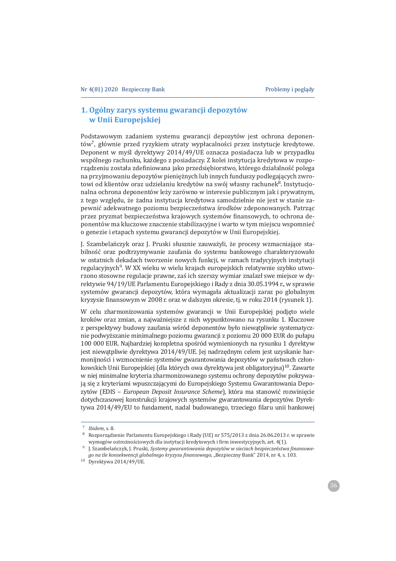# **1. Ogólny zarys systemu gwarancji depozytów w Unii Europejskiej**

Podstawowym zadaniem systemu gwarancji depozytów jest ochrona deponentów<sup>7</sup>, głównie przed ryzykiem utraty wypłacalności przez instytucie kredytowe. Deponent w myśl dyrektywy 2014/49/UE oznacza posiadacza lub w przypadku wspólnego rachunku, każdego z posiadaczy. Z kolei instytucja kredytowa w rozporządzeniu została zdefiniowana jako przedsiebiorstwo, którego działalność polega na przyjmowaniu depozytów pienieżnych lub innych funduszy podlegających zwrotowi od klientów oraz udzielaniu kredytów na swój własny rachunek<sup>8</sup>. Instytucjonalna ochrona deponentów leży zarówno w interesie publicznym jak i prywatnym, z tego wzgledu, że żadna instytucia kredytowa samodzielnie nie jest w stanie zapewnić adekwatnego poziomu bezpieczeństwa środków zdeponowanych. Patrząc przez pryzmat bezpieczeństwa krajowych systemów finansowych, to ochrona deponentów ma kluczowe znaczenie stabilizacyjne i warto w tym miejscu wspomnieć o genezie i etapach systemu gwarancji depozytów w Unii Europejskiej.

J. Szambelańczyk oraz J. Pruski słusznie zauważyli, że procesy wzmacniające stabilność oraz podtrzymywanie zaufania do systemu bankowego charakteryzowało w ostatnich dekadach tworzenie nowych funkcji, w ramach tradycyjnych instytucji regulacyjnych<sup>9</sup>. W XX wieku w wielu krajach europejskich relatywnie szybko utworzono stosowne regulacje prawne, zaś ich szerszy wymiar znalazł swe miejsce w dyrektywie 94/19/UE Parlamentu Europejskiego i Rady z dnia 30.05.1994 r., w sprawie systemów gwarancji depozytów, która wymagała aktualizacji zaraz po globalnym kryzysie finansowym w 2008 r. oraz w dalszym okresie, tj. w roku 2014 (rysunek 1).

W celu zharmonizowania systemów gwarancji w Unii Europejskiej podjęto wiele kroków oraz zmian, a najważniejsze z nich wypunktowano na rysunku 1. Kluczowe z perspektywy budowy zaufania wśród deponentów było niewatpliwie systematycznie podwyższanie minimalnego poziomu gwarancji z poziomu 20 000 EUR do pułapu 100 000 EUR. Najbardziej kompletna spośród wymienionych na rysunku 1 dyrektyw jest niewatpliwie dyrektywa 2014/49/UE. Jej nadrzędnym celem jest uzyskanie harmonijności i wzmocnienie systemów gwarantowania depozytów w państwach członkowskich Unii Europejskiej (dla których owa dyrektywa jest obligatoryjna)<sup>10</sup>. Zawarte w niej minimalne kryteria zharmonizowanego systemu ochrony depozytów pokrywają się z kryteriami wpuszczającymi do Europejskiego Systemu Gwarantowania Depozytów (EDIS – *European Deposit Insurance Scheme*), która ma stanowić rozwinięcie dotychczasowej konstrukcji krajowych systemów gwarantowania depozytów. Dyrektywa 2014/49/EU to fundament, nadal budowanego, trzeciego filaru unii bankowej

<sup>&</sup>lt;sup>7</sup> *Ibidem*. s. 8.

Rozporządzenie Parlamentu Europejskiego i Rady (UE) nr 575/2013 z dnia 26.06.2013 r. w sprawie wymogów ostrożnościowych dla instytucji kredytowych i firm inwestycyjnych, art. 4(1).

J. Szambelańczyk, J. Pruski, Systemy gwarantowania depozytów w sieciach bezpieczeństwa finansowe*go na tle konsekwencji globalnego kryzysu finansowego*, "Bezpieczny Bank" 2014, nr 4, s. 103.

 $10$  Dyrektywa 2014/49/UE.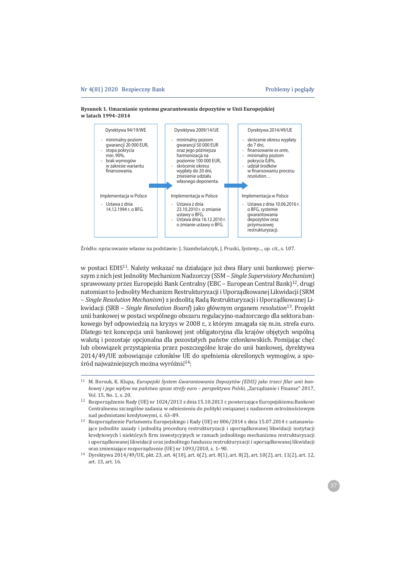



Źródło: opracowanie własne na podstawie: J. Szambelańczyk, J. Pruski, Systemy..., op. cit., s. 107.

w postaci EDIS<sup>11</sup>. Należy wskazać na działające już dwa filary unii bankowej: pierwszym z nich jest Jednolity Mechanizm Nadzorczy (SSM - Single Supervisiory Mechanism) sprawowany przez Europejski Bank Centralny (EBC - European Central Bank)<sup>12</sup>, drugi natomiast to Jednolity Mechanizm Restrukturyzacji i Uporządkowanej Likwidacji (SRM - Single Resolution Mechanism) z jednolitą Radą Restrukturyzacji i Uporządkowanej Likwidacji (SRB - *Single Resolution Board*) jako głównym organem resolution<sup>13</sup>. Projekt unii bankowej w postaci wspólnego obszaru regulacyjno-nadzorczego dla sektora bankowego był odpowiedzią na kryzys w 2008 r., z którym zmagała się m.in. strefa euro. Dlatego też koncepcja unii bankowej jest obligatoryjna dla krajów objętych wspólną waluta i pozostaje opcjonalna dla pozostałych państw członkowskich. Pomijając chęć lub obowiązek przystapienia przez poszczególne kraje do unii bankowej, dyrektywa 2014/49/UE zobowiazuje członków UE do spełnienia określonych wymogów, a spośród najważniejszych można wyróżnić<sup>14</sup>:

<sup>&</sup>lt;sup>11</sup> M. Borsuk, K. Klupa, *Europejski System Gwarantowania Depozytów (EDIS) jako trzeci filar unii bankowej i jego wpływ na państwa spoza strefy euro – perspektywa Polski, "Zarządzanie i Finanse" 2017,*  $Vol$  15  $No$  1 s 20

<sup>12</sup> Rozporządzenie Rady (UE) nr 1024/2013 z dnia 15.10.2013 r. powierzające Europejskiemu Bankowi Centralnemu szczególne zadania w odniesieniu do polityki związanej z nadzorem ostrożnościowym nad podmiotami kredytowymi, s. 63-89.

<sup>13</sup> Rozporządzenie Parlamentu Europejskiego i Rady (UE) nr 806/2014 z dnia 15.07.2014 r. ustanawiajace jednolite zasady i jednolita procedure restrukturyzacii i uporzadkowanej likwidacji instytucji kredytowych i niektórych firm inwestycyjnych w ramach jednolitego mechanizmu restrukturyzacji i uporządkowanej likwidacji oraz jednolitego funduszu restrukturyzacji i uporządkowanej likwidacji oraz zmieniające rozporządzenie (UE) nr 1093/2010, s. 1-90.

 $14$  Dyrektywa 2014/49/UE, pkt. 23, art. 4(10), art. 6(2), art. 8(1), art. 8(2), art. 10(2), art. 11(2), art. 12, art. 13, art. 16.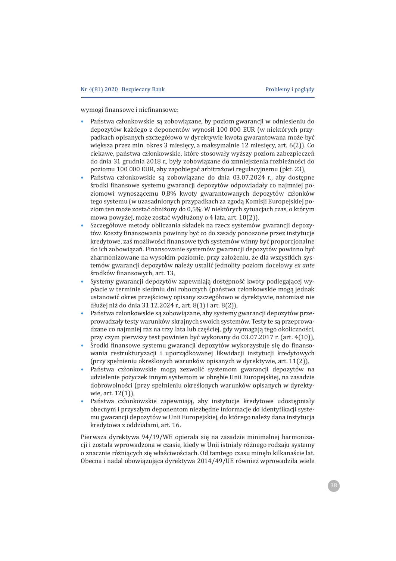wymogi finansowe i niefinansowe:

- Państwa członkowskie są zobowiązane, by poziom gwarancji w odniesieniu do depozytów każdego z deponentów wynosił 100 000 EUR (w niektórych przypadkach opisanych szczegółowo w dyrektywie kwota gwarantowana może być większa przez min. okres 3 miesięcy, a maksymalnie 12 miesięcy, art. 6(2)). Co ciekawe, państwa członkowskie, które stosowały wyższy poziom zabezpieczeń do dnia 31 grudnia 2018 r., były zobowiązane do zmniejszenia rozbieżności do poziomu 100 000 EUR, aby zapobiegać arbitrażowi regulacyjnemu (pkt. 23),
- Państwa członkowskie są zobowiązane do dnia 03.07.2024 r., aby dostępne środki finansowe systemu gwarancji depozytów odpowiadały co najmniej poziomowi wynoszącemu 0,8% kwoty gwarantowanych depozytów członków tego systemu (w uzasadnionych przypadkach za zgodą Komisji Europejskiej poziom ten może zostać obniżony do 0,5%. W niektórych sytuacjach czas, o którym mowa powyżej, może zostać wydłużony o 4 lata, art. 10(2)),
- Szczegółowe metody obliczania składek na rzecz systemów gwarancji depozytów. Koszty finansowania powinny być co do zasady ponoszone przez instytucje kredytowe, zaś możliwości finansowe tych systemów winny być proporcjonalne do ich zobowiązań. Finansowanie systemów gwarancji depozytów powinno być zharmonizowane na wysokim poziomie, przy założeniu, że dla wszystkich systemów gwarancji depozytów należy ustalić jednolity poziom docelowy ex ante środków finansowych, art. 13,
- Systemy gwarancji depozytów zapewniają dostępność kwoty podlegającej wypłacie w terminie siedmiu dni roboczych (państwa członkowskie mogą jednak ustanowić okres przejściowy opisany szczegółowo w dyrektywie, natomiast nie dłużej niż do dnia 31.12.2024 r., art. 8(1) i art. 8(2)),
- Państwa członkowskie są zobowiązane, aby systemy gwarancji depozytów przeprowadzały testy warunków skrajnych swoich systemów. Testy te są przeprowadzane co najmniej raz na trzy lata lub częściej, gdy wymagają tego okoliczności, przy czym pierwszy test powinien być wykonany do 03.07.2017 r. (art. 4(10)),
- Środki finansowe systemu gwarancji depozytów wykorzystuje się do finansowania restrukturyzacji i uporządkowanej likwidacji instytucji kredytowych (przy spełnieniu określonych warunków opisanych w dyrektywie, art. 11(2)),
- Państwa członkowskie mogą zezwolić systemom gwarancji depozytów na  $\bullet$ udzielenie pożyczek innym systemom w obrębie Unii Europejskiej, na zasadzie dobrowolności (przy spełnieniu określonych warunków opisanych w dyrektywie, art. 12(1)),
- Państwa członkowskie zapewniają, aby instytucje kredytowe udostępniały obecnym i przyszłym deponentom niezbędne informacje do identyfikacji systemu gwarancji depozytów w Unii Europejskiej, do którego należy dana instytucja kredytowa z oddziałami, art. 16.

Pierwsza dyrektywa 94/19/WE opierała się na zasadzie minimalnej harmonizacii i została wprowadzona w czasie, kiedy w Unii istniały różnego rodzaju systemy o znacznie różniących się właściwościach. Od tamtego czasu minęło kilkanaście lat. Obecna i nadal obowiązująca dyrektywa 2014/49/UE również wprowadziła wiele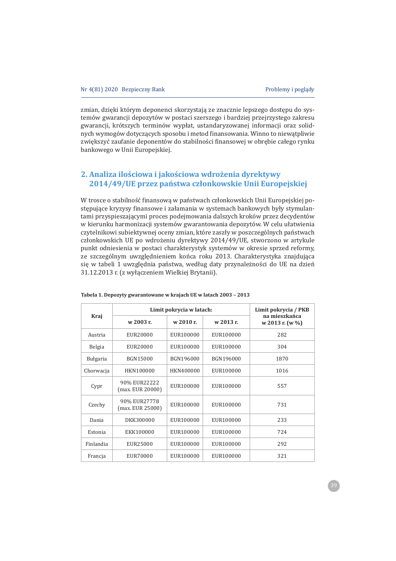zmian, dzięki którym deponenci skorzystają ze znacznie lepszego dostępu do systemów gwarancji depozytów w postaci szerszego i bardziej przejrzystego zakresu gwarancji, krótszych terminów wypłat, ustandaryzowanej informacji oraz solidnych wymogów dotyczących sposobu i metod finansowania. Winno to niewątpliwie zwiększyć zaufanie deponentów do stabilności finansowej w obrębie całego rynku bankowego w Unii Europejskiej.

# **2. Analiza iloäciowa i jakoäciowa wdroĂenia dyrektywy 2014/49/UE przez paÑstwa czÏonkowskie Unii Europejskiej**

W trosce o stabilność finansową w państwach członkowskich Unii Europejskiej postępujące kryzysy finansowe i załamania w systemach bankowych były stymulantami przyspieszającymi proces podejmowania dalszych kroków przez decydentów w kierunku harmonizacji systemów gwarantowania depozytów. W celu ułatwienia czytelnikowi subiektywnej oceny zmian, które zaszły w poszczególnych państwach członkowskich UE po wdrożeniu dyrektywy 2014/49/UE, stworzono w artykule punkt odniesienia w postaci charakterystyk systemów w okresie sprzed reformy, ze szczególnym uwzględnieniem końca roku 2013. Charakterystyka znajdująca się w tabeli 1 uwzględnia państwa, według daty przynależności do UE na dzień 31.12.2013 r. (z wyłączeniem Wielkiej Brytanii).

|               |                                  | Limit pokrycia w latach: |           | Limit pokrycia / PKB             |
|---------------|----------------------------------|--------------------------|-----------|----------------------------------|
| Kraj          | w 2003 r.                        | w 2010 r.                | w 2013 r. | na mieszkańca<br>w 2013 r. (w %) |
| Austria       | EUR20000                         | EUR100000                | EUR100000 | 282                              |
| <b>Belgia</b> | EUR20000                         | EUR100000                | EUR100000 | 304                              |
| Bułgaria      | BGN15000                         | BGN196000                | BGN196000 | 1870                             |
| Chorwacja     | HKN100000                        | HKN400000                | EUR100000 | 1016                             |
| Cypr          | 90% EUR22222<br>(max. EUR 20000) | EUR100000                | EUR100000 | 557                              |
| Czechy        | 90% EUR27778<br>(max. EUR 25000) | EUR100000                | EUR100000 | 731                              |
| Dania         | DKK300000                        | EUR100000                | EUR100000 | 233                              |
| Estonia       | EKK100000                        | EUR100000                | EUR100000 | 724                              |
| Finlandia     | EUR25000                         | EUR100000                | EUR100000 | 292                              |
| Francja       | EUR70000                         | EUR100000                | EUR100000 | 321                              |

**Tabela 1. Depozyty gwarantowane w krajach UE w latach 2003 – 2013**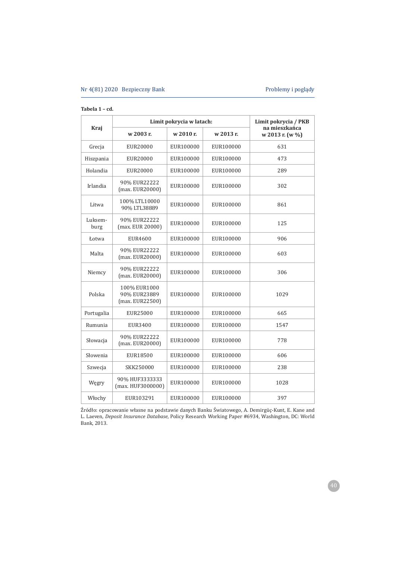### **Tabela 1 – cd.**

|                 |                                                 | Limit pokrycia w latach: |           | Limit pokrycia / PKB             |
|-----------------|-------------------------------------------------|--------------------------|-----------|----------------------------------|
| Kraj            | w 2003 r.                                       | w 2010 r.                | w 2013 r. | na mieszkańca<br>w 2013 r. (w %) |
| Grecja          | EUR20000                                        | EUR100000                | EUR100000 | 631                              |
| Hiszpania       | EUR20000                                        | EUR100000                | EUR100000 | 473                              |
| Holandia        | EUR20000                                        | EUR100000                | EUR100000 | 289                              |
| Irlandia        | 90% EUR22222<br>(max. EUR20000)                 | EUR100000                | EUR100000 | 302                              |
| Litwa           | 100% LTL10000<br>90% LTL38889                   | EUR100000                | EUR100000 | 861                              |
| Luksem-<br>burg | 90% EUR22222<br>(max. EUR 20000)                | EUR100000                | EUR100000 | 125                              |
| Łotwa           | EUR4600                                         | EUR100000                | EUR100000 | 906                              |
| Malta           | 90% EUR22222<br>(max. EUR20000)                 | EUR100000                | EUR100000 | 603                              |
| Niemcy          | 90% EUR22222<br>(max. EUR20000)                 | EUR100000                | EUR100000 | 306                              |
| Polska          | 100% EUR1000<br>90% EUR23889<br>(max. EUR22500) | EUR100000                | EUR100000 | 1029                             |
| Portugalia      | EUR25000                                        | EUR100000                | EUR100000 | 665                              |
| Rumunia         | EUR3400                                         | EUR100000                | EUR100000 | 1547                             |
| Słowacja        | 90% EUR22222<br>(max. EUR20000)                 | EUR100000                | EUR100000 | 778                              |
| Słowenia        | EUR18500                                        | EUR100000                | EUR100000 | 606                              |
| Szwecja         | SKK250000                                       | EUR100000                | EUR100000 | 238                              |
| Węgry           | 90% HUF3333333<br>(max. HUF3000000)             | EUR100000                | EUR100000 | 1028                             |
| Włochy          | EUR103291                                       | EUR100000                | EUR100000 | 397                              |

Źródło: opracowanie własne na podstawie danych Banku Światowego, A. Demirgüç-Kunt, E. Kane and L. Laeven, Deposit Insurance Database, Policy Research Working Paper #6934, Washington, DC: World Bank, 2013.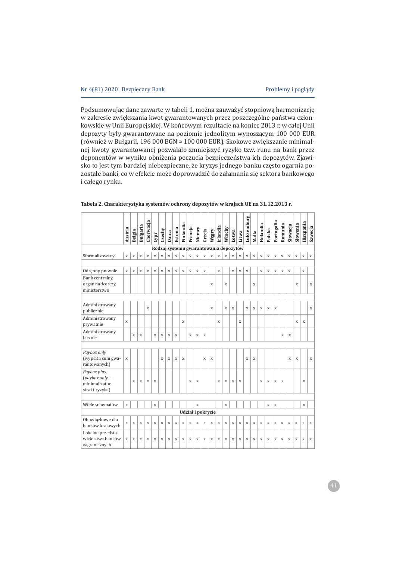Podsumowując dane zawarte w tabeli 1, można zauważyć stopniową harmonizację w zakresie zwiększania kwot gwarantowanych przez poszczególne państwa członkowskie w Unii Europejskiej. W końcowym rezultacie na koniec 2013 r. w całej Unii depozyty były gwarantowane na poziomie jednolitym wynoszącym 100 000 EUR (również w Bułgarii, 196 000 BGN ≈ 100 000 EUR). Skokowe zwiększanie minimalnej kwoty gwarantowanej pozwalało zmniejszyć ryzyko tzw. runu na bank przez deponentów w wyniku obniżenia poczucia bezpieczeństwa ich depozytów. Zjawisko to jest tym bardziej niebezpieczne, że kryzys jednego banku często ogarnia pozostałe banki, co w efekcie może doprowadzić do załamania się sektora bankowego i całego rynku.

|                                                                     | Austria     | Belgia      | Bułgaria    | Chorwacja   | Cypr | Czechy | Dania       | Estonia | Finlandia   | Francja     | Niemcy      | Grecja            | Wegry       | Irlandia    | Włochy | Łotwa | Litwa       | Luksemburg  | Malta       | Holandia    | Polska      | Portugalia  | Rumunia     | Słowacja    | Słowenia    | Hiszpania   | Szwecja     |
|---------------------------------------------------------------------|-------------|-------------|-------------|-------------|------|--------|-------------|---------|-------------|-------------|-------------|-------------------|-------------|-------------|--------|-------|-------------|-------------|-------------|-------------|-------------|-------------|-------------|-------------|-------------|-------------|-------------|
| Rodzaj systemu gwarantowania depozytów                              |             |             |             |             |      |        |             |         |             |             |             |                   |             |             |        |       |             |             |             |             |             |             |             |             |             |             |             |
| Sformalizowany                                                      | X           | $\mathbf x$ | $\mathbf x$ | $\mathbf X$ | X    | X      | X           | X       | $\mathbf x$ | $\mathbf x$ | $\mathbf X$ | $\mathbf x$       | $\mathbf x$ | $\mathbf X$ | X      | X     | $\mathbf x$ | $\mathbf x$ | $\mathbf X$ | $\mathbf x$ | $\mathbf x$ | $\mathbf x$ | $\mathbf X$ | $\mathbf x$ | $\mathbf X$ | $\mathbf X$ | $\mathbf X$ |
|                                                                     |             |             |             |             |      |        |             |         |             |             |             |                   |             |             |        |       |             |             |             |             |             |             |             |             |             |             |             |
| Odrębny prawnie                                                     | $\mathbf x$ | X           | X           | X           | X    | X      | X           | X       | X           | X           | X           | X                 |             | X           |        | X     | X           | X           |             | X           | X           | X           | X           | X           |             | $\mathbf x$ |             |
| Bank centralny,<br>organ nadzorczy,<br>ministerstwo                 |             |             |             |             |      |        |             |         |             |             |             |                   | X           |             | X      |       |             |             | X           |             |             |             |             |             | X           |             | X           |
|                                                                     |             |             |             |             |      |        |             |         |             |             |             |                   |             |             |        |       |             |             |             |             |             |             |             |             |             |             |             |
| Administrowany<br>publicznie                                        |             |             |             | X           |      |        |             |         |             |             |             |                   | X           |             | X      | X     |             | X           | X           | X           | X           | X           |             |             |             |             | X           |
| Administrowany<br>prywatnie                                         | $\mathbf x$ |             |             |             |      |        |             |         | X           |             |             |                   |             | X           |        |       | X           |             |             |             |             |             |             |             | X           | X           |             |
| Administrowany<br>łącznie                                           |             | X           | X           |             | X    | X      | X           | X       |             | X           | X           | X                 |             |             |        |       |             |             |             |             |             |             | X           | X           |             |             |             |
|                                                                     |             |             |             |             |      |        |             |         |             |             |             |                   |             |             |        |       |             |             |             |             |             |             |             |             |             |             |             |
| Paybox only<br>(wypłata sum gwa-<br>rantowanych)                    | X           |             |             |             |      | X      | $\mathbf X$ | X       | X           |             |             | X                 | X           |             |        |       |             | X           | X           |             |             |             |             | X           | $\mathbf X$ |             | X           |
| Paybox plus<br>$(paybox only +$<br>minimalizator<br>strat i ryzyka) |             | X           | X           | X           | X    |        |             |         |             | X           | X           |                   |             | X           | X      | X     | X           |             |             | X           | X           | X           | X           |             |             | X           |             |
|                                                                     |             |             |             |             |      |        |             |         |             |             |             |                   |             |             |        |       |             |             |             |             |             |             |             |             |             |             |             |
| Wiele schematów                                                     | X           |             |             |             | X    |        |             |         |             |             | X           |                   |             |             | X      |       |             |             |             |             | X           | X           |             |             |             | X           |             |
|                                                                     |             |             |             |             |      |        |             |         |             |             |             | Udział i pokrycie |             |             |        |       |             |             |             |             |             |             |             |             |             |             |             |
| Obowiązkowe dla<br>banków krajowych                                 | X           | X           | X           | X           | X    | X      | X           | X       | X           | X           | X           | X                 | X           | X           | X      | X     | X           | X           | X           | X           | X           | X           | X           | X           | X           | X           | X           |
| Lokalne przedsta-<br>wicielstwa banków<br>zagranicznych             | X           | X           | X           | X           | X    | X      | X           | X       | X           | X           | X           | X                 | X           | X           | X      | X     | X           | X           | X           | X           | X           | X           | X           | X           | X           | X           | X           |

| Tabela 2. Charakterystyka systemów ochrony depozytów w krajach UE na 31.12.2013 r. |  |  |
|------------------------------------------------------------------------------------|--|--|
|                                                                                    |  |  |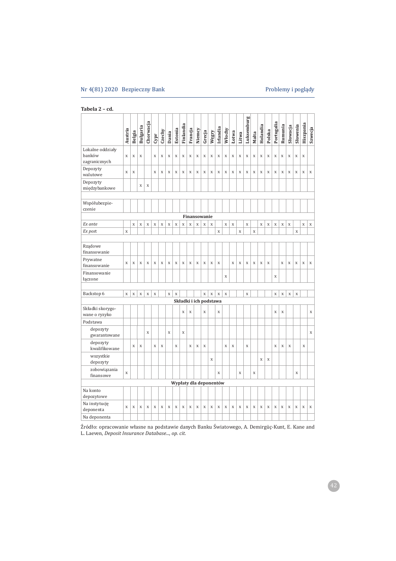# Nr 4(81) 2020 Bezpieczny Bank **Brown Bank** Problemy i poglądy

| Tabela 2 - cd. |  |  |  |
|----------------|--|--|--|
|----------------|--|--|--|

|                                             | Austria     | Belgia      | Bułgaria    | Chorwacja    | Cypr        | Czechy      | Dania       | Estonia                | Finlandia   | Francja     | Niemcy                 | Grecja             | Węgry        | Irlandia    | Włochy      | Łotwa       | Litwa     | Luksemburg | Malta       | Holandia    | Polska      | Portugalia  | Rumunia     | Słowacja    | Słowenia    | Hiszpania   | Szwecja     |
|---------------------------------------------|-------------|-------------|-------------|--------------|-------------|-------------|-------------|------------------------|-------------|-------------|------------------------|--------------------|--------------|-------------|-------------|-------------|-----------|------------|-------------|-------------|-------------|-------------|-------------|-------------|-------------|-------------|-------------|
| Lokalne oddziały<br>banków<br>zagranicznych | $\mathbf X$ | $\mathbf x$ | $\mathbf X$ |              | X           | $\mathbf x$ | X           | $\mathbf x$            | X           | X           | $\mathbf X$            | $\mathbf x$        | X            | X           | $\mathbf x$ | $\mathbf x$ | X         | X          | $\mathbf X$ | $\mathbf X$ | X           | X           | $\mathbf X$ | X           | X           | $\mathbf x$ |             |
| Depozyty<br>walutowe                        | $\mathbf X$ | $\mathbf X$ |             |              | X           | $\mathbf x$ | $\mathbf x$ | $\mathbf x$            | X           | $\mathbf X$ | $\mathbf X$            | $\mathbf x$        | $\mathbf x$  | X           | $\mathbf x$ | $\mathbf X$ | X         | X          | $\mathbf x$ | $\mathbf X$ | X           | $\mathbf X$ | $\mathbf x$ | X           | X           | $\mathbf x$ | $\mathbf X$ |
| Depozyty<br>międzybankowe                   |             |             | X           | $\mathbf{x}$ |             |             |             |                        |             |             |                        |                    |              |             |             |             |           |            |             |             |             |             |             |             |             |             |             |
| Współubezpie-<br>czenie                     |             |             |             |              |             |             |             |                        |             |             |                        |                    |              |             |             |             |           |            |             |             |             |             |             |             |             |             |             |
|                                             |             |             |             |              |             |             |             |                        |             |             | Finansowanie           |                    |              |             |             |             |           |            |             |             |             |             |             |             |             |             |             |
| Ex ante                                     |             | $\mathbf x$ | $\bar{X}$   | X            | $\mathbf x$ | $\mathbf x$ | $\mathbf x$ | $\mathbf x$            | $\mathbf x$ | $\bar{X}$   | $\mathbf{x}$           | $\mathbf x$        | $\mathbf{x}$ |             | $\mathbf x$ | $\bar{X}$   |           | X          |             | X           | $\mathbf x$ | $\bar{X}$   | $\mathbf x$ | $\bar{X}$   |             | $\mathbf X$ | $\mathbf X$ |
| Ex post                                     | $\mathbf X$ |             |             |              |             |             |             |                        |             |             |                        |                    |              | $\bar{X}$   |             |             | $\bar{x}$ |            | X           |             |             |             |             |             | $\mathbf X$ |             |             |
| Rządowe<br>finansowanie                     |             |             |             |              |             |             |             |                        |             |             |                        |                    |              |             |             |             |           |            |             |             |             |             |             |             |             |             |             |
| Prywatne<br>finansowanie                    | X           | X           | X           | X            | X           | X           | X           | X                      | X           | X           | X                      | X                  | X            | X           |             | X           | X         | X          | X           | X           | $\mathbf x$ |             | X           | X           | X           | X           | $\mathbf x$ |
| Finansowanie<br>łączone                     |             |             |             |              |             |             |             |                        |             |             |                        |                    |              |             | X           |             |           |            |             |             |             | X           |             |             |             |             |             |
| Backstop 6                                  | $\mathbf X$ | $\mathbf X$ | $\mathbf X$ | $\mathbf x$  | $\mathbf x$ |             | $\mathbf x$ | $\mathbf X$            |             |             |                        | $\mathbf{\bar{X}}$ | $\mathbf X$  | $\mathbf X$ | $\mathbf X$ |             |           | X          |             |             |             | X           | $\mathbf X$ | $\mathbf X$ | $\mathbf X$ |             |             |
|                                             |             |             |             |              |             |             |             |                        |             |             | Składki i ich podstawa |                    |              |             |             |             |           |            |             |             |             |             |             |             |             |             |             |
| Składki skorygo-<br>wane o ryzyko           |             |             |             |              |             |             |             |                        | X           | X           |                        | X                  |              | X           |             |             |           |            |             |             |             | X           | X           |             |             |             | X           |
| Podstawa                                    |             |             |             |              |             |             |             |                        |             |             |                        |                    |              |             |             |             |           |            |             |             |             |             |             |             |             |             |             |
| depozyty<br>gwarantowane                    |             |             |             | X            |             |             | X           |                        | X           |             |                        |                    |              |             |             |             |           |            |             |             |             |             |             |             |             |             | X           |
| depozyty<br>kwalifikowane                   |             | X           | X           |              | X           | X           |             | X                      |             | X           | X                      | X                  |              |             | X           | X           |           | X          |             |             |             | X           | X           | X           |             | X           |             |
| wszystkie<br>depozyty                       |             |             |             |              |             |             |             |                        |             |             |                        |                    | X            |             |             |             |           |            |             | X           | X           |             |             |             |             |             |             |
| zobowiązania<br>finansowe                   | X           |             |             |              |             |             |             |                        |             |             |                        |                    |              | X           |             |             | X         |            | X           |             |             |             |             |             | X           |             |             |
|                                             |             |             |             |              |             |             |             | Wypłaty dla deponentów |             |             |                        |                    |              |             |             |             |           |            |             |             |             |             |             |             |             |             |             |
| Na konto<br>depozytowe                      |             |             |             |              |             |             |             |                        |             |             |                        |                    |              |             |             |             |           |            |             |             |             |             |             |             |             |             |             |
| Na instytucję<br>deponenta                  | X           | X           | X           | X            | X           | X           | X           | X                      | X           | X           | X                      | X                  | X            | X           | X           | X           | X         | X          | X           | X           | X           | X           | X           | X           | X           | X           | X           |
| Na deponenta                                |             |             |             |              |             |             |             |                        |             |             |                        |                    |              |             |             |             |           |            |             |             |             |             |             |             |             |             |             |

Źródło: opracowanie własne na podstawie danych Banku Światowego, A. Demirgüç-Kunt, E. Kane and L. Laeven, Deposit Insurance Database..., op. cit.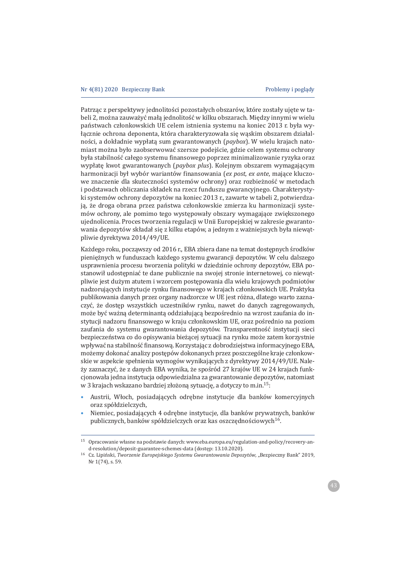Patrzac z perspektywy jednolitości pozostałych obszarów, które zostały ujete w tabeli 2, można zauważyć mała jednolitość w kilku obszarach. Miedzy innymi w wielu państwach członkowskich UE celem istnienia systemu na koniec 2013 r. była wyłącznie ochrona deponenta, która charakteryzowała się wąskim obszarem działalności, a dokładnie wypłatą sum gwarantowanych (paybox). W wielu krajach natomiast można było zaobserwować szersze podejście, gdzie celem systemu ochrony była stabilność całego systemu finansowego poprzez minimalizowanie ryzyka oraz wypłatę kwot gwarantowanych (paybox plus). Kolejnym obszarem wymagającym harmonizacji był wybór wariantów finansowania (ex post, ex ante, mające kluczowe znaczenie dla skuteczności systemów ochrony) oraz rozbieżność w metodach i podstawach obliczania składek na rzecz funduszu gwarancyjnego. Charakterystyki systemów ochrony depozytów na koniec 2013 r., zawarte w tabeli 2, potwierdzają, że droga obrana przez państwa członkowskie zmierza ku harmonizacji systemów ochrony, ale pomimo tego występowały obszary wymagające zwiększonego ujednolicenia. Proces tworzenia regulacji w Unii Europejskiej w zakresie gwarantowania depozytów składał się z kilku etapów, a jednym z ważniejszych była niewatpliwie dyrektywa 2014/49/UE.

Każdego roku, począwszy od 2016 r., EBA zbiera dane na temat dostępnych środków pieniężnych w funduszach każdego systemu gwarancji depozytów. W celu dalszego usprawnienia procesu tworzenia polityki w dziedzinie ochrony depozytów, EBA postanowił udostępniać te dane publicznie na swojej stronie internetowej, co niewątpliwie jest dużym atutem i wzorcem postępowania dla wielu krajowych podmiotów nadzorujących instytucje rynku finansowego w krająch członkowskich UE. Praktyka publikowania danych przez organy nadzorcze w UE jest różna, dlatego warto zaznaczyć, że dostęp wszystkich uczestników rynku, nawet do danych zagregowanych, może być ważną determinantą oddziałującą bezpośrednio na wzrost zaufania do instytucji nadzoru finansowego w kraju członkowskim UE, oraz pośrednio na poziom zaufania do systemu gwarantowania depozytów. Transparentność instytucji sieci bezpieczeństwa co do opisywania bieżącej sytuacji na rynku może zatem korzystnie wpływać na stabilność finansową. Korzystając z dobrodziejstwa informacyjnego EBA, możemy dokonać analizy postępów dokonanych przez poszczególne kraje członkowskie w aspekcie spełnienia wymogów wynikających z dyrektywy 2014/49/UE. Należy zaznaczyć, że z danych EBA wynika, że spośród 27 krajów UE w 24 krajach funkcjonowała jedna instytucja odpowiedzialna za gwarantowanie depozytów, natomiast w 3 krajach wskazano bardziej złożoną sytuację, a dotyczy to m.in.<sup>15</sup>:

- Austrii, Włoch, posiadających odrębne instytucje dla banków komercyjnych  $\bullet$ oraz spółdzielczych.
- Niemiec, posiadających 4 odrebne instytucie, dla banków prywatnych, banków publicznych, banków spółdzielczych oraz kas oszczednościowych<sup>16</sup>.

Opracowanie własne na podstawie danych: www.eba.europa.eu/regulation-and-policy/recovery-and-resolution/deposit-guarantee-schemes-data (dostęp: 13.10.2020).

<sup>&</sup>lt;sup>16</sup> Cz. Lipiński, Tworzenie Europejskiego Systemu Gwarantowania Depozytów, "Bezpieczny Bank" 2019, Nr 1(74), s. 59.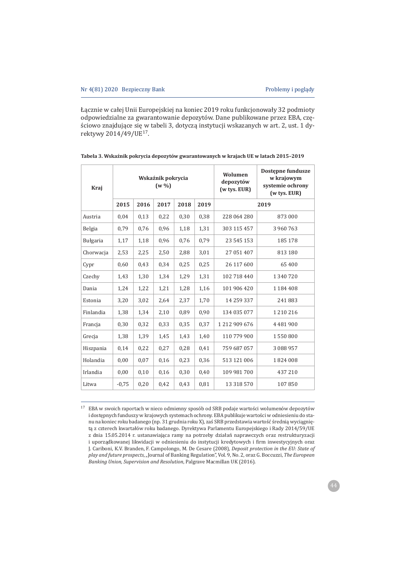Łącznie w całej Unii Europejskiej na koniec 2019 roku funkcjonowały 32 podmioty odpowiedzialne za gwarantowanie depozytów. Dane publikowane przez EBA, częściowo znajdujące się w tabeli 3, dotyczą instytucji wskazanych w art. 2, ust. 1 dyrektywy 2014/49/UE<sup>17</sup>.

| Kraj      |         |      | Wskaźnik pokrycia<br>$(w\% )$ |      |      | Wolumen<br>depozytów<br>$(w$ tys. $EUR)$ | Dostepne fundusze<br>w krajowym<br>systemie ochrony<br>(w tys. EUR) |  |  |  |
|-----------|---------|------|-------------------------------|------|------|------------------------------------------|---------------------------------------------------------------------|--|--|--|
|           | 2015    | 2016 | 2017                          | 2018 | 2019 |                                          | 2019                                                                |  |  |  |
| Austria   | 0,04    | 0,13 | 0,22                          | 0,30 | 0,38 | 228 064 280                              | 873 000                                                             |  |  |  |
| Belgia    | 0,79    | 0,76 | 0,96                          | 1,18 | 1,31 | 303 115 457                              | 3 960 763                                                           |  |  |  |
| Bułgaria  | 1,17    | 1,18 | 0,96                          | 0,76 | 0.79 | 23 545 153                               | 185 178                                                             |  |  |  |
| Chorwacja | 2.53    | 2,25 | 2,50                          | 2,88 | 3,01 | 27 051 407                               | 813 180                                                             |  |  |  |
| Cypr      | 0,60    | 0,43 | 0,34                          | 0,25 | 0,25 | 26 117 600                               | 65 400                                                              |  |  |  |
| Czechy    | 1,43    | 1,30 | 1,34                          | 1,29 | 1,31 | 102 718 440                              | 1340720                                                             |  |  |  |
| Dania     | 1,24    | 1,22 | 1,21                          | 1,28 | 1,16 | 101 906 420                              | 1 1 8 4 4 0 8                                                       |  |  |  |
| Estonia   | 3,20    | 3,02 | 2,64                          | 2,37 | 1,70 | 14 259 337                               | 241883                                                              |  |  |  |
| Finlandia | 1,38    | 1,34 | 2,10                          | 0,89 | 0,90 | 134 035 077                              | 1 2 1 0 2 1 6                                                       |  |  |  |
| Francia   | 0,30    | 0,32 | 0,33                          | 0,35 | 0,37 | 1 212 909 676                            | 4 4 8 1 9 0 0                                                       |  |  |  |
| Grecia    | 1,38    | 1,39 | 1,45                          | 1,43 | 1,40 | 110 779 900                              | 1550800                                                             |  |  |  |
| Hiszpania | 0,14    | 0,22 | 0,27                          | 0,28 | 0,41 | 759 687 057                              | 3 088 957                                                           |  |  |  |
| Holandia  | 0,00    | 0,07 | 0,16                          | 0,23 | 0,36 | 513 121 006                              | 1824008                                                             |  |  |  |
| Irlandia  | 0,00    | 0,10 | 0,16                          | 0,30 | 0,40 | 109 981 700                              | 437210                                                              |  |  |  |
| Litwa     | $-0.75$ | 0,20 | 0,42                          | 0,43 | 0,81 | 13 318 570                               | 107850                                                              |  |  |  |

| Tabela 3. Wskaźnik pokrycia depozytów gwarantowanych w krajach UE w latach 2015–2019 |  |
|--------------------------------------------------------------------------------------|--|
|--------------------------------------------------------------------------------------|--|

<sup>17</sup> EBA w swoich raportach w nieco odmienny sposób od SRB podaje wartości wolumenów depozytów i dostepnych funduszy w krajowych systemach ochrony. EBA publikuje wartości w odniesieniu do stanu na koniec roku badanego (np. 31 grudnia roku X), zaś SRB przedstawia wartość średnią wyciągniętą z czterech kwartałów roku badanego. Dyrektywa Parlamentu Europejskiego i Rady 2014/59/UE z dnia 15.05.2014 r. ustanawiająca ramy na potrzeby działań naprawczych oraz restrukturyzacji i uporzadkowanej likwidacji w odniesieniu do instytucji kredytowych i firm inwestycyjnych oraz J. Cariboni, K.V. Branden, F. Campolongo, M. De Cesare (2008), Deposit protection in the EU: State of play and future prospects, "Journal of Banking Regulation", Vol. 9, No. 2, oraz G. Boccuzzi, The European *Banking Union, Supervision and Resolution*, Palgrave Macmillan UK (2016).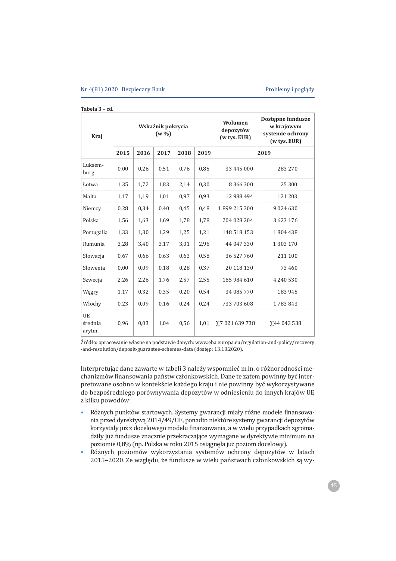| Kraj                    |      |      | Wskaźnik pokrycia<br>$(w\% )$ |      |      | Wolumen<br>depozytów<br>(w tys. EUR) | Dostępne fundusze<br>w krajowym<br>systemie ochrony<br>(w tys. EUR) |
|-------------------------|------|------|-------------------------------|------|------|--------------------------------------|---------------------------------------------------------------------|
|                         | 2015 | 2016 | 2017                          | 2018 | 2019 |                                      | 2019                                                                |
| Luksem-<br>burg         | 0,00 | 0,26 | 0,51                          | 0,76 | 0,85 | 33 445 000                           | 283 270                                                             |
| Łotwa                   | 1,35 | 1,72 | 1,83                          | 2,14 | 0,30 | 8 3 6 6 3 0 0                        | 25 300                                                              |
| Malta                   | 1,17 | 1,19 | 1,01                          | 0,97 | 0,93 | 12 988 494                           | 121 203                                                             |
| Niemcy                  | 0,28 | 0,34 | 0,40                          | 0,45 | 0,48 | 1899 215 300                         | 9024630                                                             |
| Polska                  | 1,56 | 1,63 | 1,69                          | 1,78 | 1,78 | 204 028 204                          | 3 623 176                                                           |
| Portugalia              | 1,33 | 1,30 | 1,29                          | 1,25 | 1,21 | 148 518 153                          | 1804438                                                             |
| Rumunia                 | 3,28 | 3,40 | 3,17                          | 3,01 | 2,96 | 44 047 330                           | 1 303 170                                                           |
| Słowacja                | 0,67 | 0,66 | 0,63                          | 0,63 | 0,58 | 36 527 760                           | 211 100                                                             |
| Słowenia                | 0,00 | 0,09 | 0,18                          | 0,28 | 0,37 | 20 118 130                           | 73 460                                                              |
| Szwecja                 | 2,26 | 2,26 | 1,76                          | 2,57 | 2,55 | 165 984 610                          | 4 240 530                                                           |
| Węgry                   | 1,17 | 0,32 | 0,35                          | 0,20 | 0,54 | 34 085 770                           | 183 945                                                             |
| Włochy                  | 0,23 | 0,09 | 0,16                          | 0,24 | 0,24 | 733 703 608                          | 1783843                                                             |
| UE<br>średnia<br>arytm. | 0,96 | 0.03 | 1,04                          | 0,56 | 1,01 | Σ7 021 639 738                       | ∑44 043 538                                                         |

#### **Tabela 3 – cd.**

Źródło: opracowanie własne na podstawie danych: www.eba.europa.eu/regulation-and-policy/recovery -and-resolution/deposit-guarantee-schemes-data (dostep: 13.10.2020).

Interpretując dane zawarte w tabeli 3 należy wspomnieć m.in. o różnorodności mechanizmów finansowania państw członkowskich. Dane te zatem powinny być interpretowane osobno w kontekście każdego kraju i nie powinny być wykorzystywane do bezpośredniego porównywania depozytów w odniesieniu do innych krajów UE z kilku powodów:

- Różnych punktów startowych. Systemy gwarancji miały różne modele finansowania przed dyrektywą 2014/49/UE, ponadto niektóre systemy gwarancji depozytów korzystały już z docelowego modelu finansowania, a w wielu przypadkach zgromadziły już fundusze znacznie przekraczające wymagane w dyrektywie minimum na poziomie 0,8% (np. Polska w roku 2015 osiągnęła już poziom docelowy).
- · Różnych poziomów wykorzystania systemów ochrony depozytów w latach 2015-2020. Ze względu, że fundusze w wielu państwach członkowskich są wy-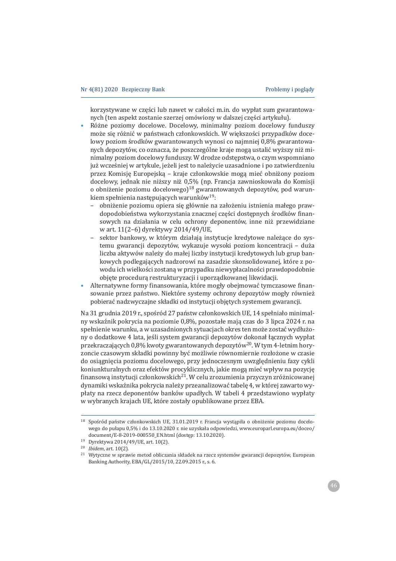korzystywane w cześci lub nawet w całości m.in. do wypłat sum gwarantowanych (ten aspekt zostanie szerzej omówiony w dalszej części artykułu).

- Różne poziomy docelowe. Docelowy, minimalny poziom docelowy funduszy może się różnić w państwach członkowskich. W większości przypadków docelowy poziom środków gwarantowanych wynosi co najmniej 0,8% gwarantowanych depozytów, co oznacza, że poszczególne kraje mogą ustalić wyższy niż minimalny poziom docelowy funduszy. W drodze odstępstwa, o czym wspomniano już wcześniej w artykule, jeżeli jest to należycie uzasadnione i po zatwierdzeniu przez Komisję Europejska – kraje członkowskie mogą mieć obniżony poziom docelowy, jednak nie niższy niż 0,5% (np. Francja zawnioskowała do Komisji o obniżenie poziomu docelowego $1^{18}$  gwarantowanych depozytów, pod warunkiem spełnienia następujących warunków<sup>19</sup>:
	- obniżenie poziomu opiera się głównie na założeniu istnienia małego prawdopodobieństwa wykorzystania znacznej części dostępnych środków finansowych na działania w celu ochrony deponentów, inne niż przewidziane w art. 11(2-6) dyrektywy 2014/49/UE,
	- sektor bankowy, w którym działają instytucję kredytowe należące do systemu gwarancji depozytów, wykazuje wysoki poziom koncentracji - duża liczba aktywów należy do małej liczby instytucji kredytowych lub grup bankowych podlegających nadzorowi na zasadzie skonsolidowanej, które z powodu ich wielkości zostaną w przypadku niewypłacalności prawdopodobnie objęte procedurą restrukturyzacji i uporządkowanej likwidacji.
- Alternatywne formy finansowania, które mogły obejmować tymczasowe finansowanie przez państwo. Niektóre systemy ochrony depozytów mogły również pobierać nadzwyczajne składki od instytucji objętych systemem gwarancji.

Na 31 grudnia 2019 r., spośród 27 państw członkowskich UE, 14 spełniało minimalny wskaźnik pokrycia na poziomie 0,8%, pozostałe mają czas do 3 lipca 2024 r. na spełnienie warunku, a w uzasadnionych sytuacjach okres ten może zostać wydłużony o dodatkowe 4 lata, jeśli system gwarancji depozytów dokonał łącznych wypłat przekraczających 0,8% kwoty gwarantowanych depozytów<sup>20</sup>. W tym 4-letnim horyzoncie czasowym składki powinny być możliwie równomiernie rozłożone w czasie do osiągnięcia poziomu docelowego, przy jednoczesnym uwzględnieniu fazy cykli koniunkturalnych oraz efektów procyklicznych, jakie mogą mieć wpływ na pozycję finansową instytucji członkowskich<sup>21</sup>. W celu zrozumienia przyczyn zróżnicowanej dynamiki wskaźnika pokrycia należy przeanalizować tabelę 4, w której zawarto wypłaty na rzecz deponentów banków upadłych. W tabeli 4 przedstawiono wypłaty w wybranych krajach UE, które zostały opublikowane przez EBA.

<sup>&</sup>lt;sup>18</sup> Spośród państw członkowskich UE, 31.01.2019 r. Francja wystąpiła o obniżenie poziomu docelowego do pułapu 0.5% i do 13.10.2020 r. nie uzyskała odpowiedzi, www.europarl.europa.eu/doceo/ document/E-8-2019-000550\_EN.html (dostęp: 13.10.2020).

<sup>19</sup> Dvrektywa 2014/49/UE, art. 10(2).

 $20$  *Ibidem*, art. 10(2).

<sup>&</sup>lt;sup>21</sup> Wytyczne w sprawie metod obliczania składek na rzecz systemów gwarancji depozytów, European Banking Authority, EBA/GL/2015/10, 22.09.2015 r., s. 6.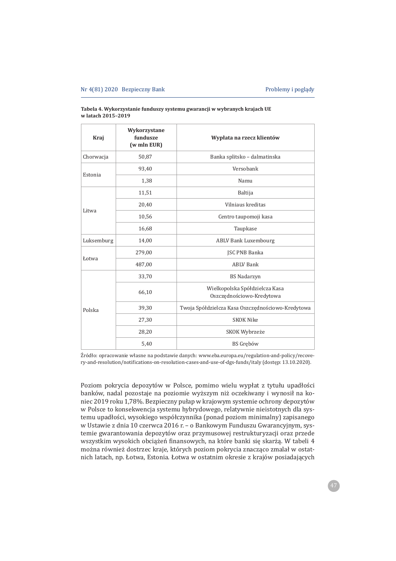| Kraj       | Wykorzystane<br>fundusze<br>(w mln EUR) | Wypłata na rzecz klientów                                   |
|------------|-----------------------------------------|-------------------------------------------------------------|
| Chorwacja  | 50,87                                   | Banka splitsko - dalmatinska                                |
| Estonia    | 93,40                                   | Versobank                                                   |
|            | 1,38                                    | Namu                                                        |
|            | 11,51                                   | <b>Baltija</b>                                              |
|            | 20,40                                   | Vilniaus kreditas                                           |
| Litwa      | 10,56                                   | Centro taupomoji kasa                                       |
|            | 16,68                                   | Taupkase                                                    |
| Luksemburg | 14,00                                   | <b>ABLV Bank Luxembourg</b>                                 |
|            | 279,00                                  | JSC PNB Banka                                               |
| Łotwa      | 487,00                                  | <b>ABLV Bank</b>                                            |
|            | 33,70                                   | <b>BS Nadarzyn</b>                                          |
|            | 66,10                                   | Wielkopolska Spółdzielcza Kasa<br>Oszczędnościowo-Kredytowa |
| Polska     | 39,30                                   | Twoja Spółdzielcza Kasa Oszczędnościowo-Kredytowa           |
| 27,30      |                                         | <b>SKOK Nike</b>                                            |
|            | 28,20                                   | SKOK Wybrzeże                                               |
|            | 5,40                                    | <b>BS</b> Grebów                                            |

Tabela 4. Wykorzystanie funduszy systemu gwarancji w wybranych krajach UE w latach 2015-2019

Źródło: opracowanie własne na podstawie danych: www.eba.europa.eu/regulation-and-policy/recovery-and-resolution/notifications-on-resolution-cases-and-use-of-dgs-funds/italy (dostęp: 13.10.2020).

Poziom pokrycia depozytów w Polsce, pomimo wielu wypłat z tytułu upadłości banków, nadal pozostaje na poziomie wyższym niż oczekiwany i wynosił na koniec 2019 roku 1,78%. Bezpieczny pułap w krajowym systemie ochrony depozytów w Polsce to konsekwencja systemu hybrydowego, relatywnie nieistotnych dla systemu upadłości, wysokiego współczynnika (ponad poziom minimalny) zapisanego w Ustawie z dnia 10 czerwca 2016 r. - o Bankowym Funduszu Gwarancyjnym, systemie gwarantowania depozytów oraz przymusowej restrukturyzacji oraz przede wszystkim wysokich obciażeń finansowych, na które banki się skarża. W tabeli 4 można również dostrzec kraje, których poziom pokrycia znacząco zmalał w ostatnich latach, np. Łotwa, Estonia. Łotwa w ostatnim okresie z krajów posiadających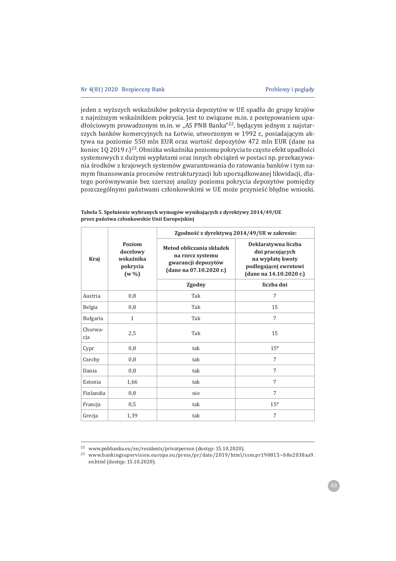jeden z wyższych wskaźników pokrycia depozytów w UE spadła do grupy krajów z najniższym wskaźnikiem pokrycia. Jest to związane m.in. z postępowaniem upadłościowym prowadzonym m.in. w "AS PNB Banka"<sup>22</sup>, będącym jednym z najstarszych banków komercyjnych na Łotwie, utworzonym w 1992 r., posiadającym aktywa na poziomie 550 mln EUR oraz wartość depozytów 472 mln EUR (dane na koniec 1Q 2019 r.)<sup>23</sup>. Obniżka wskaźnika poziomu pokrycia to często efekt upadłości systemowych z dużymi wypłatami oraz innych obciążeń w postaci np. przekazywania środków z krajowych systemów gwarantowania do ratowania banków i tym samym finansowania procesów restrukturyzacji lub uporządkowanej likwidacji, dlatego porównywanie bez szerszej analizy poziomu pokrycia depozytów pomiędzy poszczególnymi państwami członkowskimi w UE może przynieść błędne wnioski.

|                |                                                         |                                                                                                | Zgodność z dyrektywą 2014/49/UE w zakresie:                                                                    |
|----------------|---------------------------------------------------------|------------------------------------------------------------------------------------------------|----------------------------------------------------------------------------------------------------------------|
| Kraj           | Poziom<br>docelowy<br>wskaźnika<br>pokrycia<br>$(w\% )$ | Metod obliczania składek<br>na rzecz systemu<br>gwarancji depozytów<br>(dane na 07.10.2020 r.) | Deklaratywna liczba<br>dni pracujących<br>na wypłatę kwoty<br>podlegającej zwrotowi<br>(dane na 14.10.2020 r.) |
|                |                                                         | Zgodny                                                                                         | liczba dni                                                                                                     |
| Austria        | 0,8                                                     | Tak                                                                                            | 7                                                                                                              |
| Belgia         | 0,8                                                     | Tak                                                                                            | 15                                                                                                             |
| Bułgaria       | $\mathbf{1}$                                            | Tak                                                                                            | 7                                                                                                              |
| Chorwa-<br>cja | 2,5                                                     | Tak                                                                                            | 15                                                                                                             |
| Cypr           | 0,8                                                     | tak                                                                                            | $15*$                                                                                                          |
| Czechy         | 0,8                                                     | tak                                                                                            | 7                                                                                                              |
| Dania          | 0,8                                                     | tak                                                                                            | 7                                                                                                              |
| Estonia        | 1,66                                                    | tak                                                                                            | 7                                                                                                              |
| Finlandia      | 0,8                                                     | nie                                                                                            | 7                                                                                                              |
| Francja        | 0,5                                                     | tak                                                                                            | $15*$                                                                                                          |
| Grecja         | 1,39                                                    | tak                                                                                            | 7                                                                                                              |

**Tabela 5. SpeÏnienie wybranych wymogów wynikaj¦cych z dyrektywy 2014/49/UE przez paÑstwa czÏonkowskie Unii Europejskiej** 

<sup>&</sup>lt;sup>22</sup> www.pnbbanka.eu/en/residents/privatperson (dostęp: 15.10.2020).

<sup>&</sup>lt;sup>23</sup> www.bankingsupervision.europa.eu/press/pr/date/2019/html/ssm.pr190815~b8e2038aa9. en.html (dostęp: 15.10.2020).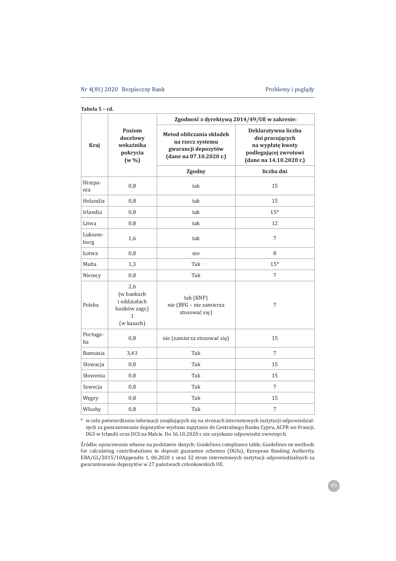#### Nr 4(81) 2020 Bezpieczny Bank Problemy i poglądy

| Tabela 5 |  | – cd. |
|----------|--|-------|
|----------|--|-------|

|                 |                                                                       | Zgodność z dyrektywą 2014/49/UE w zakresie:                                                    |                                                                                                                |
|-----------------|-----------------------------------------------------------------------|------------------------------------------------------------------------------------------------|----------------------------------------------------------------------------------------------------------------|
| Kraj            | <b>Poziom</b><br>docelowy<br>wskaźnika<br>pokrycia<br>$(w\% )$        | Metod obliczania składek<br>na rzecz systemu<br>gwarancji depozytów<br>(dane na 07.10.2020 r.) | Deklaratywna liczba<br>dni pracujących<br>na wypłatę kwoty<br>podlegającej zwrotowi<br>(dane na 14.10.2020 r.) |
|                 |                                                                       | Zgodny                                                                                         | liczba dni                                                                                                     |
| Hiszpa-<br>nia  | 0,8                                                                   | tak                                                                                            | 15                                                                                                             |
| Holandia        | 0,8                                                                   | tak                                                                                            | 15                                                                                                             |
| Irlandia        | 0,8                                                                   | tak                                                                                            | $15*$                                                                                                          |
| Litwa           | 0,8                                                                   | tak                                                                                            | 12                                                                                                             |
| Luksem-<br>burg | 1,6                                                                   | tak                                                                                            | 7                                                                                                              |
| Łotwa           | 0,8                                                                   | nie                                                                                            | 8                                                                                                              |
| Malta           | 1,3                                                                   | Tak                                                                                            | $15*$                                                                                                          |
| Niemcy          | 0,8                                                                   | Tak                                                                                            | 7                                                                                                              |
| Polska          | 2,6<br>(w bankach<br>i oddziałach<br>banków zagr.)<br>1<br>(w kasach) | tak (KNF)<br>nie (BFG - nie zamierza<br>stosować się)                                          | 7                                                                                                              |
| Portuga-<br>lia | 0,8                                                                   | nie (zamierza stosować się)                                                                    | 15                                                                                                             |
| Rumunia         | 3,43                                                                  | Tak                                                                                            | 7                                                                                                              |
| Słowacja        | 0,8                                                                   | Tak                                                                                            | 15                                                                                                             |
| Słowenia        | 0,8                                                                   | Tak                                                                                            | 15                                                                                                             |
| Szwecja         | 0,8                                                                   | Tak                                                                                            | 7                                                                                                              |
| Węgry           | 0,8                                                                   | Tak                                                                                            | 15                                                                                                             |
| Włochy          | 0,8                                                                   | Tak                                                                                            | 7                                                                                                              |

\* w celu potwierdzenia informacji znajdujących się na stronach internetowych instytucji odpowiedzialnych za gwarantowanie depozytów wysłano zapytanie do Centralnego Banku Cypru, ACPR we Francji, DGS w Irlandii oraz DCS na Malcie. Do 16.10.2020 r. nie uzyskano odpowiedzi zwrotnych.

Źródło: opracowanie własne na podstawie danych: Guidelines compliance table, Guidelines on methods for calculating contribututions to deposit guarantee schemes (DGSs), European Banking Authority, EBA/GL/2015/10Appendix 1, 06.2020 r. oraz 32 stron internetowych instytucji odpowiedzialnych za gwarantowanie depozytów w 27 państwach członkowskich UE.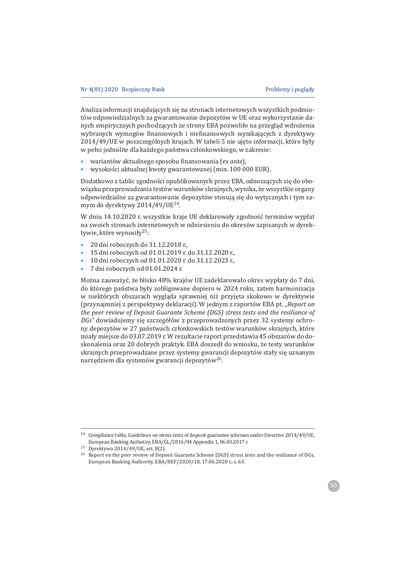Analiza informacji znajdujących się na stronach internetowych wszystkich podmiotów odpowiedzialnych za gwarantowanie depozytów w UE oraz wykorzystanie danych empirycznych pochodzących ze strony EBA pozwoliło na przegląd wdrożenia wybranych wymogów finansowych i niefinansowych wynikających z dyrektywy 2014/49/UE w poszczególnych krajach. W tabeli 5 nie ujęto informacji, które były w pełni jednolite dla każdego państwa członkowskiego, w zakresie:

- wariantów aktualnego sposobu finansowania (ex ante),  $\bullet$
- wysokości aktualnej kwoty gwarantowanej (min. 100 000 EUR).

Dodatkowo z tablic zgodności opublikowanych przez EBA, odnoszących się do obowiązku przeprowadzania testów warunków skrajnych, wynika, że wszystkie organy odpowiedzialne za gwarantowanie depozytów stosują się do wytycznych i tym samym do dyrektywy 2014/49/UE<sup>24</sup>.

W dniu 14.10.2020 r. wszystkie kraje UE deklarowały zgodność terminów wypłat na swoich stronach internetowych w odniesieniu do okresów zapisanych w dyrektywie, które wynosiły<sup>25</sup>:

- 20 dni roboczych do 31.12.2018 r.
- 15 dni roboczych od 01.01.2019 r. do 31.12.2020 r.,
- 10 dni roboczych od 01.01.2020 r. do 31.12.2023 r.,
- 7 dni roboczych od 01.01.2024 r.

Można zauważyć, że blisko 48% krajów UE zadeklarowało okres wypłaty do 7 dni, do którego państwa były zobligowane dopiero w 2024 roku, zatem harmonizacja w niektórych obszarach wygląda sprawniej niż przyjęta skokowo w dyrektywie (przynajmniej z perspektywy deklaracji). W jednym z raportów EBA pt. "Report on the peer review of Deposit Guarante Scheme (DGS) stress tests and the resiliance of DGs" dowiadujemy się szczegółów z przeprowadzonych przez 32 systemy ochrony depozytów w 27 państwach członkowskich testów warunków skrajnych, które miały miejsce do 03.07.2019 r. W rezultacie raport przedstawia 45 obszarów do doskonalenia oraz 20 dobrych praktyk. EBA doszedł do wniosku, że testy warunków skrajnych przeprowadzane przez systemy gwarancji depozytów stały się uznanym narzędziem dla systemów gwarancji depozytów<sup>26</sup>.

<sup>&</sup>lt;sup>24</sup> Compliance table, Guidelines on stress tests of deposit guarantee schemes under Directive 2014/49/UE, European Banking Authotiry, EBA/GL/2016/04 Appendix 1, 06.03.2017 r.

<sup>&</sup>lt;sup>25</sup> Dyrektywa 2014/49/UE, art. 8(2).

<sup>&</sup>lt;sup>26</sup> Report on the peer review of Deposit Guarante Scheme (DGS) stress tests and the resiliance of DGs, European Banking Authority, EBA/REP/2020/18, 17.06.2020 r., s. 63.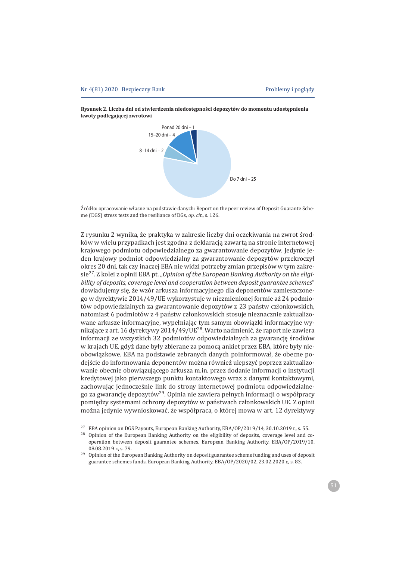

Rysunek 2. Liczba dni od stwierdzenia niedostępności depozytów do momentu udostępnienia kwoty podlegającej zwrotowi

Źródło: opracowanie własne na podstawie danych: Report on the peer review of Deposit Guarante Scheme (DGS) stress tests and the resiliance of DGs, op. cit., s. 126.

Z rysunku 2 wynika, że praktyka w zakresie liczby dni oczekiwania na zwrot środków w wielu przypadkach jest zgodna z deklaracją zawartą na stronie internetowej krajowego podmiotu odpowiedzialnego za gwarantowanie depozytów. Jedynie jeden krajowy podmiot odpowiedzialny za gwarantowanie depozytów przekroczył okres 20 dni, tak czy inaczej EBA nie widzi potrzeby zmian przepisów w tym zakre- $\sin^{27}$ . Z kolei z opinii EBA pt. "Opinion of the European Banking Authority on the eligibility of deposits, coverage level and cooperation between deposit quarantee schemes" dowiadujemy się, że wzór arkusza informacyjnego dla deponentów zamieszczonego w dyrektywie 2014/49/UE wykorzystuje w niezmienionej formie aż 24 podmiotów odpowiedzialnych za gwarantowanie depozytów z 23 państw członkowskich, natomiast 6 podmiotów z 4 państw członkowskich stosuje nieznacznie zaktualizowane arkusze informacyjne, wypełniając tym samym obowiązki informacyjne wynikające z art. 16 dyrektywy 2014/49/UE<sup>28</sup>. Warto nadmienić, że raport nie zawiera informacji ze wszystkich 32 podmiotów odpowiedzialnych za gwarancje środków w krajach UE, gdyż dane były zbierane za pomocą ankiet przez EBA, które były nieobowiązkowe. EBA na podstawie zebranych danych poinformował, że obecne podejście do informowania deponentów można również ulepszyć poprzez zaktualizowanie obecnie obowiązującego arkusza m.in. przez dodanie informacji o instytucji kredytowej jako pierwszego punktu kontaktowego wraz z danymi kontaktowymi, zachowując jednocześnie link do strony internetowej podmiotu odpowiedzialnego za gwarancje depozytów<sup>29</sup>. Opinia nie zawiera pełnych informacji o współpracy pomiędzy systemami ochrony depozytów w państwach członkowskich UE. Z opinii można jedynie wywnioskować, że współpraca, o której mowa w art. 12 dyrektywy

operation between deposit guarantee schemes, European Banking Authority, EBA/OP/2019/10, 08.08.2019 r., s. 79.

<sup>29</sup> Opinion of the European Banking Authority on deposit guarantee scheme funding and uses of deposit guarantee schemes funds, European Banking Authority, EBA/OP/2020/02, 23.02.2020 r., s. 83.

<sup>&</sup>lt;sup>27</sup> EBA opinion on DGS Payouts, European Banking Authority, EBA/OP/2019/14, 30.10.2019 r., s. 55. 28 Opinion of the European Banking Authority on the eligibility of deposits, coverage level and co-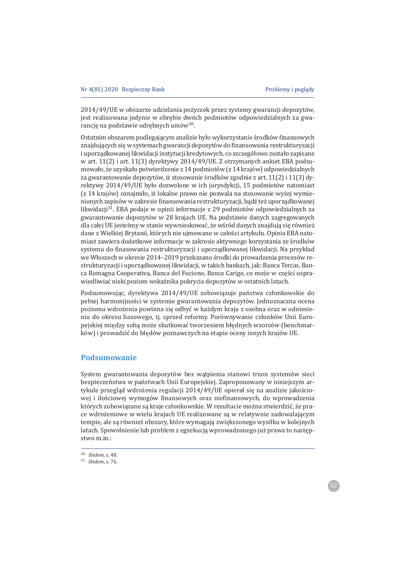2014/49/UE w obszarze udzielania pożyczek przez systemy gwarancji depozytów, jest realizowana jedynie w obrebie dwóch podmiotów odpowiedzialnych za gwarancje na podstawie odrebnych umów<sup>30</sup>.

Ostatnim obszarem podlegającym analizie było wykorzystanie środków finansowych znajdujących się w systemach gwarancji depozytów do finansowania restrukturyzacji i uporządkowanej likwidacji instytucji kredytowych, co szczegółowo zostało zapisane w art. 11(2) i art. 11(3) dyrektywy 2014/49/UE. Z otrzymanych ankiet EBA podsumowało, że uzyskało potwierdzenie z 14 podmiotów (z 14 krajów) odpowiedzialnych za gwarantowanie depozytów, iż stosowanie środków zgodnie z art. 11(2) i 11(3) dyrektywy 2014/49/UE było dozwolone w ich jurysdykcji, 15 podmiotów natomiast (z 14 krajów) oznajmiło, iż lokalne prawo nie pozwala na stosowanie wyżej wymienionych zapisów w zakresie finansowania restrukturyzacji, bądź też uporządkowanej likwidacji<sup>31</sup>. EBA podaje w opinii informacje z 29 podmiotów odpowiedzialnych za gwarantowanie depozytów w 28 krajach UE. Na podstawie danych zagregowanych dla całej UE jesteśmy w stanie wywnioskować, że wśród danych znajdują się również dane z Wielkiej Brytanii, których nie ujmowano w całości artykułu. Opinia EBA natomiast zawiera dodatkowe informacje w zakresie aktywnego korzystania ze środków systemu do finasowania restrukturyzacji i uporządkowanej likwidacji. Na przykład we Włoszech w okresie 2014-2019 przekazano środki do prowadzenia procesów restrukturyzacji i uporządkowanej likwidacji, w takich bankach, jak: Banca Tercas, Banca Romagna Cooperativa, Banca del Fuciono, Banca Carige, co może w części usprawiedliwiać niski poziom wskaźnika pokrycia depozytów w ostatnich latach.

Podsumowując, dyrektywa 2014/49/UE zobowiązuje państwa członkowskie do pełnej harmonijności w systemie gwarantowania depozytów. Jednoznaczna ocena poziomu wdrożenia powinna się odbyć w każdym kraju z osobna oraz w odniesieniu do okresu bazowego, tj. sprzed reformy. Porównywanie członków Unii Europejskiej miedzy soba może skutkować tworzeniem błednych wzorców (benchmarków) i prowadzić do błędów poznawczych na etapie oceny innych krajów UE.

# **Podsumowanie**

System gwarantowania depozytów bez wątpienia stanowi trzon systemów sieci bezpieczeństwa w państwach Unii Europejskiej. Zaproponowany w niniejszym artykule przegląd wdrożenia regulacji 2014/49/UE opierał się na analizie jakościowej i ilościowej wymogów finansowych oraz niefinansowych, do wprowadzenia których zobowiązane są kraje członkowskie. W rezultacie można stwierdzić, że prace wdrożeniowe w wielu krajach UE realizowane są w relatywnie zadowalającym tempie, ale są również obszary, które wymagają zwiększonego wysiłku w kolejnych latach. Spowolnienie lub problem z egzekucją wprowadzonego już prawa to następstwo m.in.:

<sup>&</sup>lt;sup>30</sup> *Ibidem*, s. 48.

<sup>31</sup> *Ibidem*, s. 76.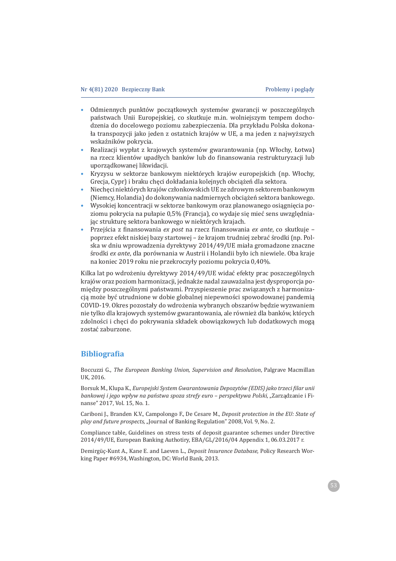- Odmiennych punktów początkowych systemów gwarancji w poszczególnych państwach Unii Europejskiej, co skutkuje m.in. wolniejszym tempem dochodzenia do docelowego poziomu zabezpieczenia. Dla przykładu Polska dokonała transpozycji jako jeden z ostatnich krajów w UE, a ma jeden z najwyższych wskaźników pokrycia.
- Realizacji wypłat z krajowych systemów gwarantowania (np. Włochy, Łotwa) na rzecz klientów upadłych banków lub do finansowania restrukturyzacji lub uporządkowanej likwidacji.
- Kryzysu w sektorze bankowym niektórych krajów europejskich (np. Włochy, Grecja, Cypr) i braku chęci dokładania kolejnych obciążeń dla sektora.
- Niechęci niektórych krajów członkowskich UE ze zdrowym sektorem bankowym (Niemcy, Holandia) do dokonywania nadmiernych obciążeń sektora bankowego.
- Wysokiej koncentracji w sektorze bankowym oraz planowanego osiągnięcia poziomu pokrycia na pułapie 0,5% (Francja), co wydaje się mieć sens uwzględniając strukturę sektora bankowego w niektórych krajach.
- Przejścia z finansowania *ex post* na rzecz finansowania *ex ante*, co skutkuje poprzez efekt niskiej bazy startowej – że krajom trudniej zebrać środki (np. Polska w dniu wprowadzenia dyrektywy 2014/49/UE miała gromadzone znaczne *środki ex ante*, dla porównania w Austrii i Holandii było ich niewiele. Oba kraje na koniec 2019 roku nie przekroczyły poziomu pokrycia 0,40%.

Kilka lat po wdrożeniu dyrektywy 2014/49/UE widać efekty prac poszczególnych krajów oraz poziom harmonizacji, jednakże nadal zauważalna jest dysproporcja pomiędzy poszczególnymi państwami. Przyspieszenie prac związanych z harmonizacją może być utrudnione w dobie globalnej niepewności spowodowanej pandemią COVID-19. Okres pozostały do wdrożenia wybranych obszarów będzie wyzwaniem nie tylko dla krajowych systemów gwarantowania, ale również dla banków, których zdolności i chęci do pokrywania składek obowiązkowych lub dodatkowych mogą zostać zaburzone.

# **Bibliograϐia**

Boccuzzi G., The European Banking Union, Supervision and Resolution, Palgrave Macmillan UK. 2016.

ǤǡǤǡ*Europejski System Gwarantowania Depozytów (EDIS) jako trzeci ϔilar unii bankowej i jego wpływ na państwa spoza strefy euro – perspektywa Polski*, "Zarządzanie i Finanse" 2017, Vol. 15, No. 1.

Cariboni J., Branden K.V., Campolongo F., De Cesare M., *Deposit protection in the EU: State of play and future prospects, "*Journal of Banking Regulation" 2008, Vol. 9, No. 2.

Compliance table, Guidelines on stress tests of deposit guarantee schemes under Directive 2014/49/UE, European Banking Authotiry, EBA/GL/2016/04 Appendix 1, 06.03.2017 r.

Demirgüc-Kunt A., Kane E. and Laeven L., *Deposit Insurance Database*, Policy Research Working Paper #6934, Washington, DC: World Bank, 2013.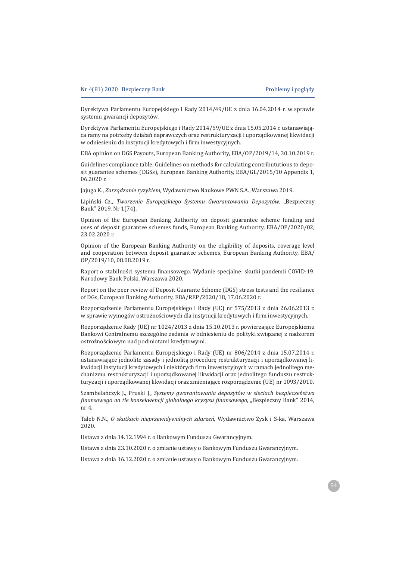Dyrektywa Parlamentu Europejskiego i Rady 2014/49/UE z dnia 16.04.2014 r. w sprawie systemu gwarancji depozytów.

Dyrektywa Parlamentu Europejskiego i Rady 2014/59/UE z dnia 15.05.2014 r. ustanawiająca ramy na potrzeby działań naprawczych oraz restrukturyzacji i uporządkowanej likwidacji w odniesieniu do instytucji kredytowych i firm inwestycyjnych.

EBA opinion on DGS Payouts, European Banking Authority, EBA/OP/2019/14, 30.10.2019 r.

Guidelines compliance table, Guidelines on methods for calculating contribututions to deposit guarantee schemes (DGSs), European Banking Authority, EBA/GL/2015/10 Appendix 1,  $06.2020$  r.

*Jajuga K., Zarządzanie ryzykiem, Wydawnictwo Naukowe PWN S.A., Warszawa 2019.* 

Lipiński Cz., Tworzenie Europejskiego Systemu Gwarantowania Depozytów, "Bezpieczny Bank" 2019, Nr 1(74).

Opinion of the European Banking Authority on deposit guarantee scheme funding and uses of deposit guarantee schemes funds, European Banking Authority, EBA/OP/2020/02, 23.02.2020 r.

Opinion of the European Banking Authority on the eligibility of deposits, coverage level and cooperation between deposit guarantee schemes, European Banking Authority, EBA/ ΟΡ/2019/10, 08.08.2019 r.

Raport o stabilności systemu finansowego. Wydanie specjalne: skutki pandemii COVID-19. Narodowy Bank Polski, Warszawa 2020.

Report on the peer review of Deposit Guarante Scheme (DGS) stress tests and the resiliance of DGs, European Banking Authority, EBA/REP/2020/18, 17.06.2020 r.

Rozporządzenie Parlamentu Europejskiego i Rady (UE) nr 575/2013 z dnia 26.06.2013 r. w sprawie wymogów ostrożnościowych dla instytucji kredytowych i firm inwestycyjnych.

Rozporządzenie Rady (UE) nr 1024/2013 z dnia 15.10.2013 r. powierzające Europejskiemu Bankowi Centralnemu szczególne zadania w odniesieniu do polityki związanej z nadzorem ostrożnościowym nad podmiotami kredytowymi.

Rozporządzenie Parlamentu Europejskiego i Rady (UE) nr 806/2014 z dnia 15.07.2014 r. ustanawiające jednolite zasady i jednolitą procedurę restrukturyzacji i uporządkowanej likwidacji instytucji kredytowych i niektórych firm inwestycyjnych w ramach jednolitego mechanizmu restrukturyzacji i uporządkowanej likwidacji oraz jednolitego funduszu restrukturyzacji i uporządkowanej likwidacji oraz zmieniające rozporządzenie (UE) nr 1093/2010.

Szambelańczyk J., Pruski J., Systemy gwarantowania depozytów w sieciach bezpieczeństwa *finansowego na tle konsekwencji globalnego kryzysu finansowego. "Bezpieczny Bank" 2014.* nr 4

Taleb N.N., O skutkach nieprzewidywalnych zdarzeń, Wydawnictwo Zysk i S-ka, Warszawa 2020.

Ustawa z dnia 14.12.1994 r. o Bankowym Funduszu Gwarancyjnym.

Ustawa z dnia 23.10.2020 r. o zmianie ustawy o Bankowym Funduszu Gwarancyjnym.

Ustawa z dnia 16.12.2020 r. o zmianie ustawy o Bankowym Funduszu Gwarancyjnym.